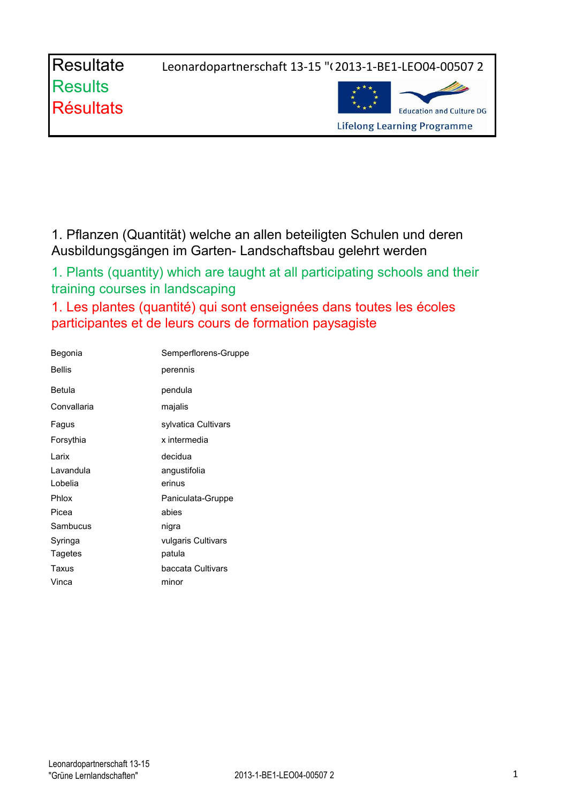Resultate Leonardopartnerschaft 13-15 "(2013-1-BE1-LEO04-00507 2



1. Pflanzen (Quantität) welche an allen beteiligten Schulen und deren Ausbildungsgängen im Garten- Landschaftsbau gelehrt werden

1. Plants (quantity) which are taught at all participating schools and their training courses in landscaping

1. Les plantes (quantité) qui sont enseignées dans toutes les écoles participantes et de leurs cours de formation paysagiste

| Begonia       | Semperflorens-Gruppe |
|---------------|----------------------|
| <b>Bellis</b> | perennis             |
| <b>Betula</b> | pendula              |
| Convallaria   | majalis              |
| Fagus         | sylvatica Cultivars  |
| Forsythia     | x intermedia         |
| Larix         | decidua              |
| Lavandula     | angustifolia         |
| Lobelia       | erinus               |
| Phlox         | Paniculata-Gruppe    |
| Picea         | abies                |
| Sambucus      | nigra                |
| Syringa       | vulgaris Cultivars   |
| Tagetes       | patula               |
| Taxus         | baccata Cultivars    |
| Vinca         | minor                |
|               |                      |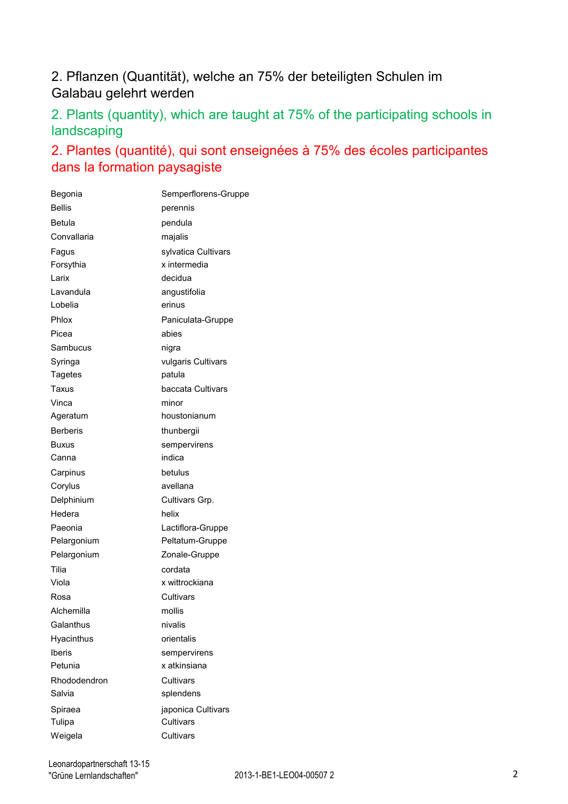## 2. Pflanzen (Quantität), welche an 75% der beteiligten Schulen im Galabau gelehrt werden

2. Plants (quantity), which are taught at 75% of the participating schools in landscaping

## 2. Plantes (quantité), qui sont enseignées à 75% des écoles participantes dans la formation paysagiste

| Begonia         | Semperflorens-Gruppe |
|-----------------|----------------------|
| <b>Bellis</b>   | perennis             |
| <b>Betula</b>   | pendula              |
| Convallaria     | majalis              |
| Fagus           | sylvatica Cultivars  |
| Forsythia       | x intermedia         |
| Larix           | decidua              |
| Lavandula       | angustifolia         |
| Lobelia         | erinus               |
| Phlox           | Paniculata-Gruppe    |
| Picea           | abies                |
| Sambucus        | nigra                |
| Syringa         | vulgaris Cultivars   |
| Tagetes         | patula               |
| Taxus           | baccata Cultivars    |
| Vinca           | minor                |
| Ageratum        | houstonianum         |
| <b>Berberis</b> | thunbergii           |
| <b>Buxus</b>    | sempervirens         |
| Canna           | indica               |
| Carpinus        | betulus              |
| Corylus         | avellana             |
| Delphinium      | Cultivars Grp.       |
| Hedera          | helix                |
| Paeonia         | Lactiflora-Gruppe    |
| Pelargonium     | Peltatum-Gruppe      |
| Pelargonium     | Zonale-Gruppe        |
| Tilia           | cordata              |
| Viola           | x wittrockiana       |
| Rosa            | Cultivars            |
| Alchemilla      | mollis               |
| Galanthus       | nivalis              |
| Hyacinthus      | orientalis           |
| <b>Iberis</b>   | sempervirens         |
| Petunia         | x atkinsiana         |
| Rhododendron    | Cultivars            |
| Salvia          | splendens            |
| Spiraea         | japonica Cultivars   |
| Tulipa          | Cultivars            |
| Weigela         | Cultivars            |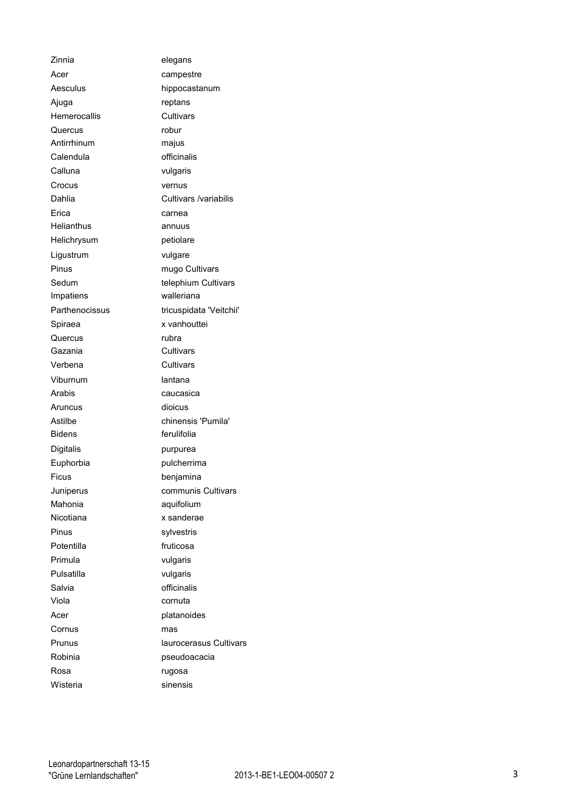| Zinnia         | elegans                 |
|----------------|-------------------------|
| Acer           | campestre               |
| Aesculus       | hippocastanum           |
| Ajuga          | reptans                 |
| Hemerocallis   | Cultivars               |
| Quercus        | robur                   |
| Antirrhinum    | majus                   |
| Calendula      | officinalis             |
| Calluna        | vulgaris                |
| Crocus         | vernus                  |
| Dahlia         | Cultivars /variabilis   |
| Erica          | carnea                  |
| Helianthus     | annuus                  |
| Helichrysum    | petiolare               |
| Ligustrum      | vulgare                 |
| Pinus          | mugo Cultivars          |
| Sedum          | telephium Cultivars     |
| Impatiens      | walleriana              |
| Parthenocissus | tricuspidata 'Veitchii' |
| Spiraea        | x vanhouttei            |
| Quercus        | rubra                   |
| Gazania        | Cultivars               |
| Verbena        | Cultivars               |
| Viburnum       | lantana                 |
| Arabis         | caucasica               |
| Aruncus        | dioicus                 |
| Astilbe        | chinensis 'Pumila'      |
| <b>Bidens</b>  | ferulifolia             |
| Digitalis      | purpurea                |
| Euphorbia      | pulcherrima             |
| Ficus          | benjamina               |
| Juniperus      | communis Cultivars      |
| Mahonia        | aquifolium              |
| Nicotiana      | x sanderae              |
| Pinus          | sylvestris              |
| Potentilla     | fruticosa               |
| Primula        | vulgaris                |
| Pulsatilla     | vulgaris                |
| Salvia         | officinalis             |
| Viola          | cornuta                 |
| Acer           | platanoides             |
| Cornus         | mas                     |
| Prunus         | laurocerasus Cultivars  |
| Robinia        | pseudoacacia            |
| Rosa           | rugosa                  |
| Wisteria       | sinensis                |